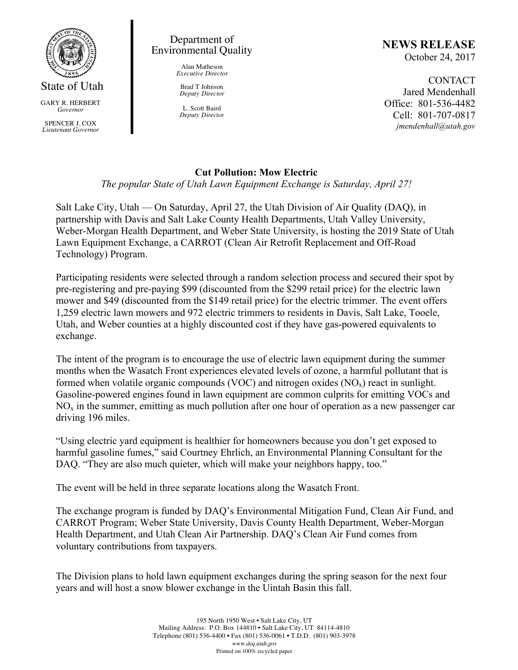

*Governor*

SPENCER J. COX *Lieutenant Governor*

### Department of Environmental Quality

Alan Matheson *Executive Director*

Brad T Johnson *Deputy Director*

L. Scott Baird *Deputy Director*

# **NEWS RELEASE**

October 24, 2017

CONTACT Jared Mendenhall Office: 801-536-4482 Cell: 801-707-0817 *jmendenhall@utah.gov*

## **Cut Pollution: Mow Electric**

*The popular State of Utah Lawn Equipment Exchange is Saturday, April 27!*

Salt Lake City, Utah — On Saturday, April 27, the Utah Division of Air Quality (DAQ), in partnership with Davis and Salt Lake County Health Departments, Utah Valley University, Weber-Morgan Health Department, and Weber State University, is hosting the 2019 State of Utah Lawn Equipment Exchange, a CARROT (Clean Air Retrofit Replacement and Off-Road Technology) Program.

Participating residents were selected through a random selection process and secured their spot by pre-registering and pre-paying \$99 (discounted from the \$299 retail price) for the electric lawn mower and \$49 (discounted from the \$149 retail price) for the electric trimmer. The event offers 1,259 electric lawn mowers and 972 electric trimmers to residents in Davis, Salt Lake, Tooele, Utah, and Weber counties at a highly discounted cost if they have gas-powered equivalents to exchange.

The intent of the program is to encourage the use of electric lawn equipment during the summer months when the Wasatch Front experiences elevated levels of ozone, a harmful pollutant that is formed when volatile organic compounds (VOC) and nitrogen oxides  $(NO<sub>x</sub>)$  react in sunlight. Gasoline-powered engines found in lawn equipment are common culprits for emitting VOCs and  $NO<sub>x</sub>$  in the summer, emitting as much pollution after one hour of operation as a new passenger car driving 196 miles.

"Using electric yard equipment is healthier for homeowners because you don't get exposed to harmful gasoline fumes," said Courtney Ehrlich, an Environmental Planning Consultant for the DAQ. "They are also much quieter, which will make your neighbors happy, too."

The event will be held in three separate locations along the Wasatch Front.

The exchange program is funded by DAQ's Environmental Mitigation Fund, Clean Air Fund, and CARROT Program; Weber State University, Davis County Health Department, Weber-Morgan Health Department, and Utah Clean Air Partnership. DAQ's Clean Air Fund comes from voluntary contributions from taxpayers.

The Division plans to hold lawn equipment exchanges during the spring season for the next four years and will host a snow blower exchange in the Uintah Basin this fall.